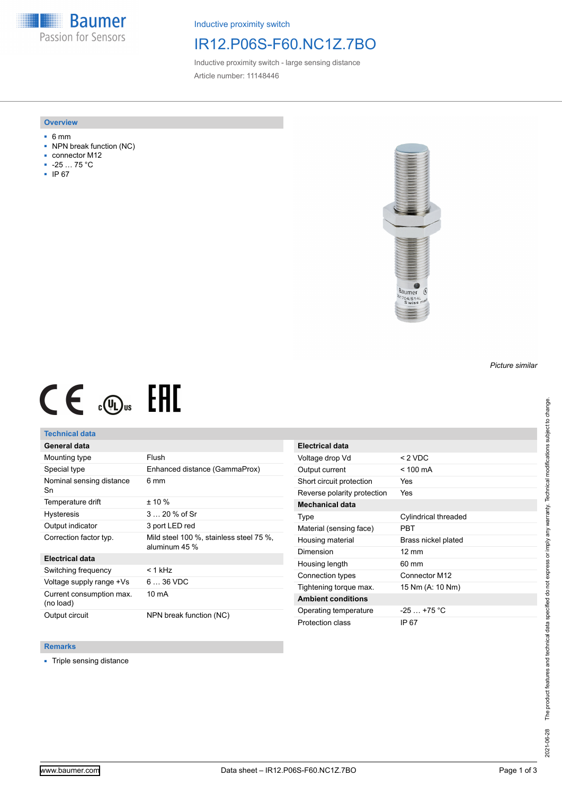**Baumer** Passion for Sensors

Inductive proximity switch

## IR12.P06S-F60.NC1Z.7BO

Inductive proximity switch - large sensing distance Article number: 11148446

### **Overview**

- 6 mm
- NPN break function (NC)
- connector M12
- -25 … 75 °C
- IP 67



# $CE \mathcal{L}$  ( $\mathcal{L}$  and  $SE$

## **Technical data**

## **General data**

| Mounting type                         | Flush                                                    |
|---------------------------------------|----------------------------------------------------------|
| Special type                          | Enhanced distance (GammaProx)                            |
| Nominal sensing distance<br>Sn        | 6 mm                                                     |
| Temperature drift                     | $± 10 \%$                                                |
| <b>Hysteresis</b>                     | $320%$ of Sr                                             |
| Output indicator                      | 3 port LED red                                           |
| Correction factor typ.                | Mild steel 100 %, stainless steel 75 %,<br>aluminum 45 % |
| <b>Electrical data</b>                |                                                          |
| Switching frequency                   | $< 1$ kHz                                                |
| Voltage supply range +Vs              | $636$ VDC                                                |
| Current consumption max.<br>(no load) | 10 mA                                                    |
| Output circuit                        | NPN break function (NC)                                  |

| <b>Electrical data</b>      |                      |
|-----------------------------|----------------------|
| Voltage drop Vd             | $< 2$ VDC            |
| Output current              | $<$ 100 mA           |
| Short circuit protection    | Yes                  |
| Reverse polarity protection | Yes                  |
| <b>Mechanical data</b>      |                      |
| Type                        | Cylindrical threaded |
| Material (sensing face)     | PRT                  |
| Housing material            | Brass nickel plated  |
| Dimension                   | $12 \text{ mm}$      |
| Housing length              | $60 \text{ mm}$      |
| Connection types            | Connector M12        |
| Tightening torque max.      | 15 Nm (A: 10 Nm)     |
| <b>Ambient conditions</b>   |                      |
| Operating temperature       | $-25$ $+75$ °C       |
| Protection class            | IP 67                |

### **Remarks**

■ Triple sensing distance

*Picture similar*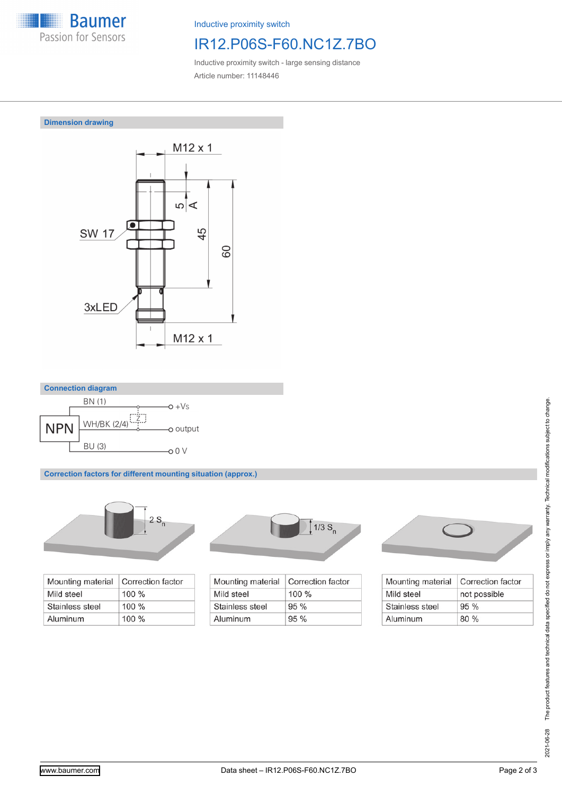

Inductive proximity switch

# IR12.P06S-F60.NC1Z.7BO

Inductive proximity switch - large sensing distance Article number: 11148446

## **Dimension drawing**





**Correction factors for different mounting situation (approx.)**



| Mounting material | Correction factor |
|-------------------|-------------------|
| Mild steel        | $100 \%$          |
| Stainless steel   | $100\%$           |
| Aluminum          | $100\%$           |



| Mounting material | Correction factor |
|-------------------|-------------------|
| Mild steel        | $100\%$           |
| Stainless steel   | $95\%$            |
| Aluminum          | 95%               |



| Mounting material | Correction factor |
|-------------------|-------------------|
| Mild steel        | not possible      |
| Stainless steel   | 95%               |
| Aluminum          | 80%               |